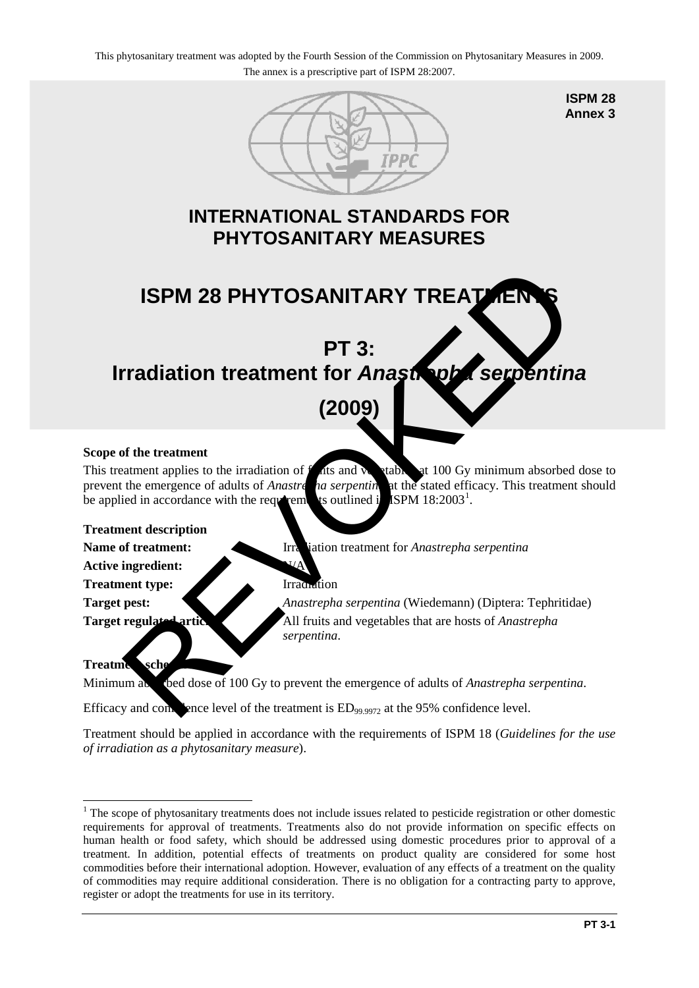

**ISPM 28 Annex 3**

### **INTERNATIONAL STANDARDS FOR PHYTOSANITARY MEASURES**

# **ISPM 28 PHYTOSANITARY TREATMENT PT 3:**  ISPM 28 PHYTOSANITARY TREATER<br>
PT 3:<br>
FT 3:<br>
(2009)<br>
of the treatment<br>
tatment applies to the irradiation of this and the diality of  $\mu$  the stated efficacy. This treatment<br>
the emergence of adults of *Anastre* in a serpe

# **Irradiation treatment for** *Anastrepha serpentina*

## **(2009)**

#### **Scope of the treatment**

This treatment applies to the irradiation of  $f$  at  $s$  and  $y$  at 100 Gy minimum absorbed dose to prevent the emergence of adults of *Anastre* ha serpenting at the stated efficacy. This treatment should be applied in accordance with the requirements outlined in ISPM  $18:2003^1$ .

#### **Treatment description**

**Name of treatment:** Irradiation treatment for *Anastrepha serpentina* 

**Active ingredient:** 

**Treatment type:** Irradiation

**Target pest:** *Anastrepha serpentina* (Wiedemann) (Diptera: Tephritidae) **Target regulated articles:** All fruits and vegetables that are hosts of *Anastrepha serpentina*.

#### **Treatment sche**

Minimum absorbed dose of 100 Gy to prevent the emergence of adults of *Anastrepha serpentina*.

Efficacy and confidence level of the treatment is  $ED_{99.9972}$  at the 95% confidence level.

Treatment should be applied in accordance with the requirements of ISPM 18 (*Guidelines for the use of irradiation as a phytosanitary measure*).

<span id="page-0-0"></span><sup>&</sup>lt;u>.</u> <sup>1</sup> The scope of phytosanitary treatments does not include issues related to pesticide registration or other domestic requirements for approval of treatments. Treatments also do not provide information on specific effects on human health or food safety, which should be addressed using domestic procedures prior to approval of a treatment. In addition, potential effects of treatments on product quality are considered for some host commodities before their international adoption. However, evaluation of any effects of a treatment on the quality of commodities may require additional consideration. There is no obligation for a contracting party to approve, register or adopt the treatments for use in its territory.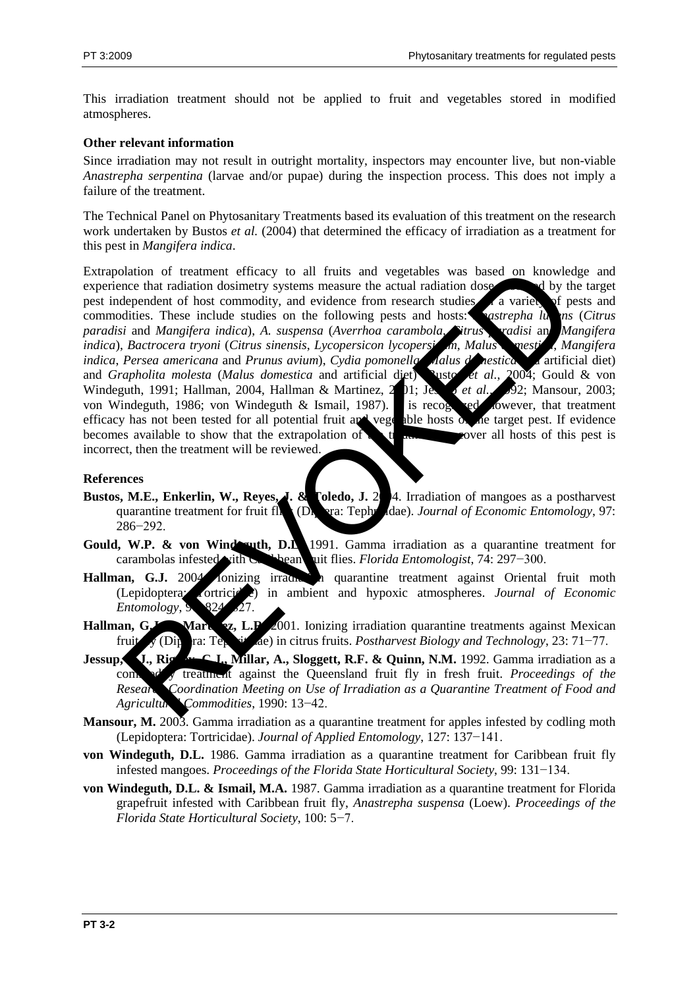This irradiation treatment should not be applied to fruit and vegetables stored in modified atmospheres.

#### **Other relevant information**

Since irradiation may not result in outright mortality, inspectors may encounter live, but non-viable *Anastrepha serpentina* (larvae and/or pupae) during the inspection process. This does not imply a failure of the treatment.

The Technical Panel on Phytosanitary Treatments based its evaluation of this treatment on the research work undertaken by Bustos *et al.* (2004) that determined the efficacy of irradiation as a treatment for this pest in *Mangifera indica*.

Extrapolation of treatment efficacy to all fruits and vegetables was based on knowledge and experience that radiation dosimetry systems measure the actual radiation dose absorbed by the target pest independent of host commodity, and evidence from research studies a variety of pests and pest independent of host commodity, and evidence from research studies a variety commodities. These include studies on the following pests and hosts: *Anastrepha lumes (Citrus paradisi* and *Mangifera indica*), *A. suspensa* (*Averrhoa carambola*, *Citrus paradisi* and *Mangifera indica*), *Bactrocera tryoni* (*Citrus sinensis*, *Lycopersicon lycopersicum*, *Malus domestica*, *Mangifera indica*, *Persea americana* and *Prunus avium*), *Cydia pomonella* (*Aalus domestica* artificial diet) and *Grapholita molesta* (*Malus domestica* and artificial diet) usto et al., 2004; Gould & von and *Grapholita molesta* (*Malus domestica* and artificial diet) susto *et al.*, Windeguth, 1991; Hallman, 2004, Hallman & Martinez, 201; Jesse *et al.*, 92; Mansour, 2003; von Windeguth, 1986; von Windeguth & Ismail, 1987). It is recognized lowever, that treatment efficacy has not been tested for all potential fruit and vegetable hosts of the target pest. If evidence becomes available to show that the extrapolation of the treatment over all hosts of this pest is incorrect, then the treatment will be reviewed. blation of treatment efficecy to all fruits and vegetables was based on knowled<br>nee that radiation dosinerty systems measure the actual radiation doses.<br>
Rependent of host commodity, and evidence from research studies are

#### **References**

- **Bustos, M.E., Enkerlin, W., Reyes, J. & Toledo, J. 2004.** Irradiation of mangoes as a postharvest quarantine treatment for fruit fl**ides (Dipterature 1)** dae). *Journal of Economic Entomology*, 97: 286−292.
- Gould, W.P. & von Windesuth, D.L. 1991. Gamma irradiation as a quarantine treatment for carambolas infested with Caribbean fruit flies. *Florida Entomologist*, 74: 297−300.
- Hallman, G.J. 2004 Ionizing irradiation all quarantine treatment against Oriental fruit moth (Lepidoptera: Tortricidae) in ambient and hypoxic atmospheres. *Journal of Economic Entomology*,
- Hallman, G.J. Martingz, L.P. 2001. Ionizing irradiation quarantine treatments against Mexican fruit fly (Diptera: Tephritidae) in citrus fruits. *Postharvest Biology and Technology*, 23: 71−77.
- **Jessup, J., Rigney, C.J., Millar, A., Sloggett, R.F. & Quinn, N.M.** 1992. Gamma irradiation as a commodity treatment against the Queensland fruit fly in fresh fruit. *Proceedings of the* **Research Coordination Meeting on Use of Irradiation as a Quarantine Treatment of Food and** *Agricultural Commodities*, 1990: 13−42.
- **Mansour, M.** 2003. Gamma irradiation as a quarantine treatment for apples infested by codling moth (Lepidoptera: Tortricidae). *Journal of Applied Entomology*, 127: 137−141.
- **von Windeguth, D.L.** 1986. Gamma irradiation as a quarantine treatment for Caribbean fruit fly infested mangoes. *Proceedings of the Florida State Horticultural Society*, 99: 131−134.
- **von Windeguth, D.L. & Ismail, M.A.** 1987. Gamma irradiation as a quarantine treatment for Florida grapefruit infested with Caribbean fruit fly, *Anastrepha suspensa* (Loew). *Proceedings of the Florida State Horticultural Society*, 100: 5−7.